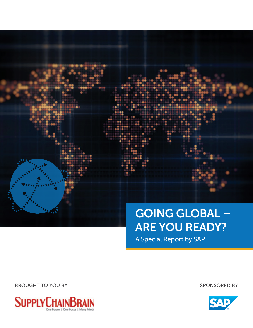# Going Global –

# Are You Ready?

A Special Report by SAP

BROUGHT TO YOU BY SPONSORED BY



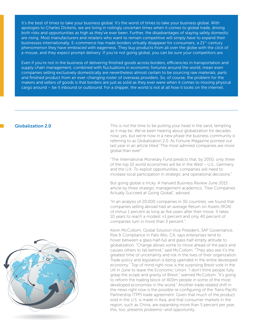It's the best of times to take your business global. It's the worst of times to take your business global. With apologies to Charles Dickens, we are living in roilingly uncertain times when it comes to global trade, driving both risks and opportunities as high as they've ever been. Further, the disadvantages of staying safely domestic are rising. Most manufacturers and retailers who want to remain competitive will simply *have* to expand their businesses internationally. E-commerce has made borders virtually disappear for consumers; a 21st-century phenomenon they have embraced with eagerness. They buy products from all over the globe with the click of a mouse, and they expect prompt delivery. If you're not going global, you can be sure your competitors are.

Even if you're not in the business of delivering finished goods across borders, efficiencies in transportation and supply chain management, combined with fluctuations in economic fortunes around the world, mean even companies selling exclusively domestically are nevertheless almost certain to be sourcing raw materials, parts and finished product from an ever-changing roster of overseas providers. So, of course, the problem for the makers and sellers of goods is that borders are just as solid as they ever were when it comes to moving physical cargo around – be it inbound or outbound. For a shipper, the world is not at all how it looks on the internet.

**Globalization 2.0** This is not the time to be putting your head in the sand, tempting as it may be. We've been hearing about globalization for decades now, yes, but we're now in a new phase the business community is referring to as Globalization 2.0. As Fortune Magazine pointed out last year in an article titled "The most admired companies are more global than ever":

> "The International Monetary Fund predicts that, by 2050, only three of the top 10 world economies will be in the West – U.S., Germany and the U.K. To exploit opportunities, companies will need to increase local participation in strategic and operational decisions."

> But going global is tricky. A Harvard Business Review June 2015 article by three strategic management academics, "Few Companies Actually Succeed at Going Global", advised:

> "In an analysis of 20,000 companies in 30 countries, we found that companies selling abroad had an average Return on Assets (ROA) of *minus* 1 percent as long as *five years* after their move. It takes 10 years to reach a modest +1 percent and only 40 percent of companies turn in more than 3 percent."

Kevin McCollom, Global Solution Vice President, SAP Governance, Risk & Compliance in Palo Alto, CA, says enterprises tend to hover between a glass-half-full and glass-half-empty attitude to globalization. "Change allows some to move ahead of the pack and causes others to fall behind," said McCollom. "They also see it's the greatest time of uncertainty and risk in the lives of their organization. Trade policy and legislation is being upended in the entire developed economy." Top of mind right now is the surprising Brexit vote in the UK in June to leave the Economic Union. "I don't think people fully grasp the scope and gravity of Brexit," warned McCollom. "It's going to reform the trading block of 400m people in some of the most developed economies in the world." Another trade-related shift in the news right now is the possible re-configuring of the Trans-Pacific Partnership (TPP) trade agreement. Given that much of the product sold in the U.S. is made in Asia, and that consumer markets in the region, such as China, are expanding more than 5 percent per year, this, too, presents problems—and opportunity.

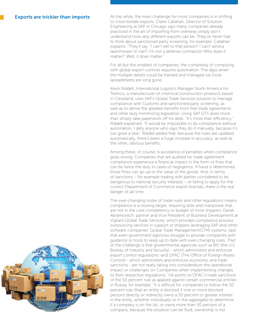## Exports are trickier than imports

All the while, the main challenge for most companies is in shifting to cross-border exports. Claire Callahan, Director of Solution Engineering at SAP in Chicago says many companies already practiced in the art of importing from overseas simply don't understand how very different exports can be. They've never had to think about sanctioned party screening, for example. Callahan explains: "They'll say: 'I can't sell to that person? I can't send a lawnmower to Iran? I'm not a defense contractor! Why does it matter?' Well, it does matter."

For all but the smallest of companies, the complexity of complying with global export controls requires automation. The days when the multiple details could be tracked and managed via Excel spreadsheets are long gone.

Kevin Riddell, International Logistics Manager North America for Tremco, a manufacturer of chemical construction products based in Cleveland, uses SAP's Global Trade Services solution to manage compliance with Customs and sanctioned party screening, as well as to derive the greatest benefits from free trade agreements and other duty-minimizing legislation. Using SAP GTS does more than simply take paperwork off his desk. "It's more than efficiency," Riddell explained. "It would be impossible to do compliance without automation. I defy anyone who says they do it manually, because it's too great a task." Riddell added that, because the rules are updated automatically, there's been a huge increase in accuracy, as well as the other, obvious benefits.

Among these, of course, is avoidance of penalties when compliance goes wrong. Companies that are audited for trade agreement compliance experience a financial impact in the form of fines that can be twice the duty in cases of negligence. If fraud is determined, those fines can go up to the value of the goods. And, in terms of sanctions – for example trading with parties considered to be dangerous to national security interests – or failing to apply for the correct Department of Commerce export licenses, there is the real danger of jail time.

The ever-changing roster of trade rules and other regulations means compliance is a moving target; requiring skills and manpower that are not in the core competency or budget of most shippers. Derek Abramovitch, partner and Vice President of Business Development at Vigilant Global Trade Services, which provides compliance process outsourcing services in support of shippers leveraging SAP and other software companies' Global Trade Management(GTM) systems, said that even government agencies struggle to provide companies with guidance or tools to keep up to date with ever-changing rules. "Part of the challenge is that governmental agencies such as BIS (the U.S. Bureau of Industry and Security) - which administers and enforces export control regulations -and OFAC (The Office of Foreign Assets Control) - which administers and enforces economic and trade sanctions - are not really taking into consideration the operational impact or challenges on Companies when implementing changes to their respective regulations." He points to OFAC's trade sanctions of the 50 percent rule as applied against certain commercial entities in Russia, for example. "It is difficult for companies to follow the 50 percent rule (that an entity is blocked if one or more blocked persons directly or indirectly owns a 50 percent or greater interest in the entity, whether individually or in the aggregate) to determine if a company is on the list, or owns more than 50 percent of a company, because the situation can be fluid, ownership is not

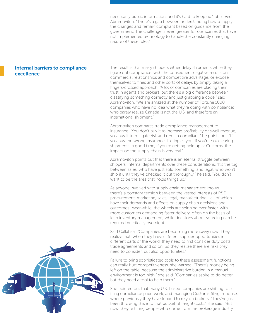necessarily public information, and it's hard to keep up," observed Abramovitch. "There's a gap between understanding how to apply the changes and remain compliant based on guidance from the government. The challenge is even greater for companies that have not implemented technology to handle the constantly changing nature of these rules."

# Internal barriers to compliance excellence

The result is that many shippers either delay shipments while they figure out compliance, with the consequent negative results on commercial relationships and competitive advantage, or expose themselves to fines and other sorts of delays by simply taking a fingers-crossed approach. "A lot of companies are placing their trust in agents and brokers, but there's a big difference between classifying something correctly and just grabbing a code," said Abramovitch. "We are amazed at the number of Fortune 1000 companies who have no idea what they're doing with compliance; who barely realize Canada is not the U.S. and therefore an international shipment."

Abramovitch compares trade compliance management to insurance. "You don't buy it to increase profitability or swell revenue; you buy it to mitigate risk and remain compliant," he points out. "If you buy the wrong insurance, it cripples you. If you're not clearing shipments in good time, if you're getting held up at Customs, the impact on the supply chain is very real."

Abramovitch points out that there is an eternal struggle between shippers' internal departments over these considerations. "It's the tug between sales, who have just sold something, and legal, who won't ship it until they've checked it out thoroughly," he said. "You don't want to be the area that holds things up."

As anyone involved with supply chain management knows, there's a constant tension between the vested interests of R&D, procurement, marketing, sales, legal, manufacturing… all of which have their demands and effects on supply chain decisions and outcomes. Meanwhile, the wheels are spinning ever faster, with more customers demanding faster delivery, often on the basis of lean inventory management, while decisions about sourcing can be required practically overnight.

Said Callahan: "Companies are becoming more savvy now. They realize that, when they have different supplier opportunities in different parts of the world, they need to first consider duty costs, trade agreements and so on. So they realize there are risks they need to consider, but also opportunities."

Failure to bring sophisticated tools to these assessment functions can really hurt competitiveness, she warned. "There's money being left on the table, because the administrative burden in a manual environment is too high," she said. "Companies aspire to do better, but they need a tool to help them."

She pointed out that many U.S.-based companies are shifting to selffiling compliance paperwork, and managing Customs filing in-house, where previously they have tended to rely on brokers. "They've just been throwing this into that bucket of freight costs," she said. "But now, they're hiring people who come from the brokerage industry